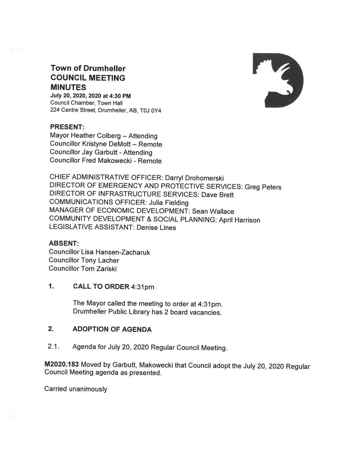

## **Town of Drumheller COUNCIL MEETING MINUTES**

July 20, 2020, 2020 at 4:30 PM Council Chamber, Town Hall 224 Centre Street, Drumheller, AB, T0J 0Y4

# **PRESENT:**

Mayor Heather Colberg - Attending **Councillor Kristyne DeMott - Remote Councillor Jay Garbutt - Attending** Councillor Fred Makowecki - Remote

CHIEF ADMINISTRATIVE OFFICER: Darryl Drohomerski DIRECTOR OF EMERGENCY AND PROTECTIVE SERVICES: Greg Peters DIRECTOR OF INFRASTRUCTURE SERVICES: Dave Brett **COMMUNICATIONS OFFICER: Julia Fielding** MANAGER OF ECONOMIC DEVELOPMENT: Sean Wallace COMMUNITY DEVELOPMENT & SOCIAL PLANNING: April Harrison **LEGISLATIVE ASSISTANT: Denise Lines** 

### **ABSENT:**

**Councillor Lisa Hansen-Zacharuk Councillor Tony Lacher Councillor Tom Zariski** 

#### $1.$ **CALL TO ORDER 4:31pm**

The Mayor called the meeting to order at 4:31pm. Drumheller Public Library has 2 board vacancies.

#### $2.$ **ADOPTION OF AGENDA**

 $2.1.$ Agenda for July 20, 2020 Regular Council Meeting.

M2020.183 Moved by Garbutt, Makowecki that Council adopt the July 20, 2020 Regular Council Meeting agenda as presented.

Carried unanimously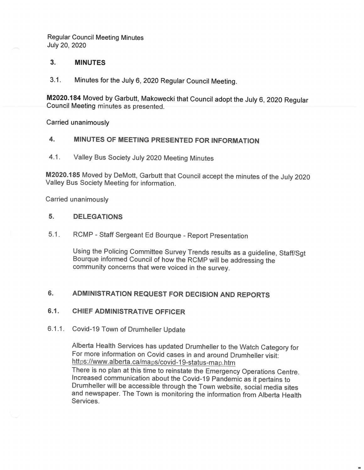### 3. MINUTES

3.1. Minutes for the July 6, 2020 Regular Council Meeting.

Council Meeting minutes as presented. M2020.184 Moved by Garbutt, Makowecki that Council adopt the July 6, 2020 Regular

Carried unanimously

#### 4. MINUTES OF MEETING PRESENTED FOR INFORMATION

4.1. Valley Bus Society July 2020 Meeting Minutes

M2020.185 Moved by DeMott, Garbutt that Council accept the minutes of the July 2020 Valley Bus Society Meeting for information.

Carried unanimously

#### 5. DELEGATIONS

 $5.1<sub>1</sub>$ RCMP - Staff Sergeant Ed Bourque - Report Presentation

> Using the Policing Committee Survey Trends results as <sup>a</sup> guideline, Staff/Sgt Bourque informed Council of how the RCMP willbe addressing the community concerns that were voiced in the survey.

#### 6. ADMINISTRATION REQUEST FOR DECISION AND REPORTS

#### 6.1. **CHIEF ADMINISTRATIVE OFFICER**

#### 6.1.1. Covid-19 Town of Drumheller Update

https://www.alberta.ca/maps/covid-19-status-map.htm Alberta Health Services has updated Drumheller to the Watch Category for For more information on Covid cases in and around Drumheller visit: There is no plan at this time to reinstate the Emergency Operations Centre. Increased communication about the Covid-19 Pandemic as it pertains to Drumheller will be accessible through the Town website, social media sites and newspaper. The Town is monitoring the information from Alberta Health Services.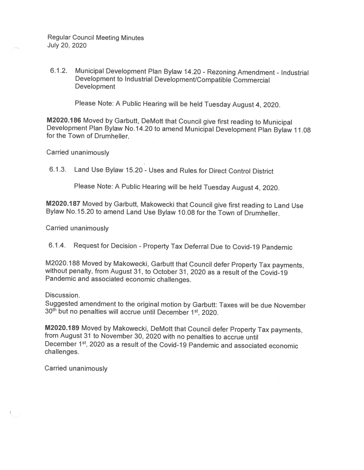Municipal Development Plan Bylaw 14.20 - Rezoning Amendment - Industrial  $6.1.2.$ Development to Industrial Development/Compatible Commercial **Development** 

Please Note: A Public Hearing will be held Tuesday August 4, 2020.

M2020.186 Moved by Garbutt, DeMott that Council give first reading to Municipal Development Plan Bylaw No.14.20 to amend Municipal Development Plan Bylaw 11.08 for the Town of Drumheller.

Carried unanimously

6.1.3. Land Use Bylaw 15.20 - Uses and Rules for Direct Control District

Please Note: A Public Hearing will be held Tuesday August 4, 2020.

M2020.187 Moved by Garbutt, Makowecki that Council give first reading to Land Use Bylaw No.15.20 to amend Land Use Bylaw 10.08 for the Town of Drumheller.

Carried unanimously

6.1.4. Request for Decision - Property Tax Deferral Due to Covid-19 Pandemic

M2020.188 Moved by Makowecki, Garbutt that Council defer Property Tax payments, without penalty, from August 31, to October 31, 2020 as a result of the Covid-19 Pandemic and associated economic challenges.

Discussion.

Suggested amendment to the original motion by Garbutt: Taxes will be due November 30th but no penalties will accrue until December 1st, 2020.

M2020.189 Moved by Makowecki, DeMott that Council defer Property Tax payments, from August 31 to November 30, 2020 with no penalties to accrue until December 1<sup>st</sup>, 2020 as a result of the Covid-19 Pandemic and associated economic challenges.

**Carried unanimously**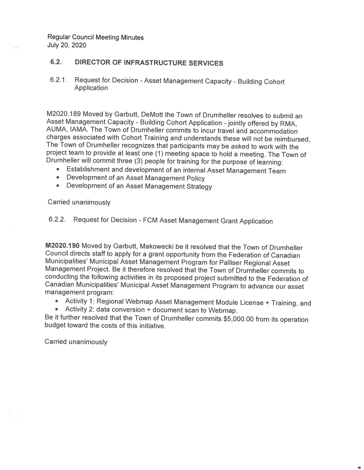#### **DIRECTOR OF INFRASTRUCTURE SERVICES**  $6.2.$

Request for Decision - Asset Management Capacity - Building Cohort  $6.2.1$ Application

M2020.189 Moved by Garbutt, DeMott the Town of Drumheller resolves to submit an Asset Management Capacity - Building Cohort Application - jointly offered by RMA, AUMA, IAMA. The Town of Drumheller commits to incur travel and accommodation charges associated with Cohort Training and understands these will not be reimbursed, The Town of Drumheller recognizes that participants may be asked to work with the project team to provide at least one (1) meeting space to hold a meeting. The Town of Drumheller will commit three (3) people for training for the purpose of learning:

- Establishment and development of an internal Asset Management Team
- Development of an Asset Management Policy
- Development of an Asset Management Strategy

### **Carried unanimously**

# 6.2.2. Request for Decision - FCM Asset Management Grant Application

M2020.190 Moved by Garbutt, Makowecki be it resolved that the Town of Drumheller Council directs staff to apply for a grant opportunity from the Federation of Canadian Municipalities' Municipal Asset Management Program for Palliser Regional Asset Management Project. Be it therefore resolved that the Town of Drumheller commits to conducting the following activities in its proposed project submitted to the Federation of Canadian Municipalities' Municipal Asset Management Program to advance our asset management program:

- Activity 1: Regional Webmap Asset Management Module License + Training, and
- Activity 2: data conversion + document scan to Webmap.

Be it further resolved that the Town of Drumheller commits \$5,000.00 from its operation budget toward the costs of this initiative.

Carried unanimously